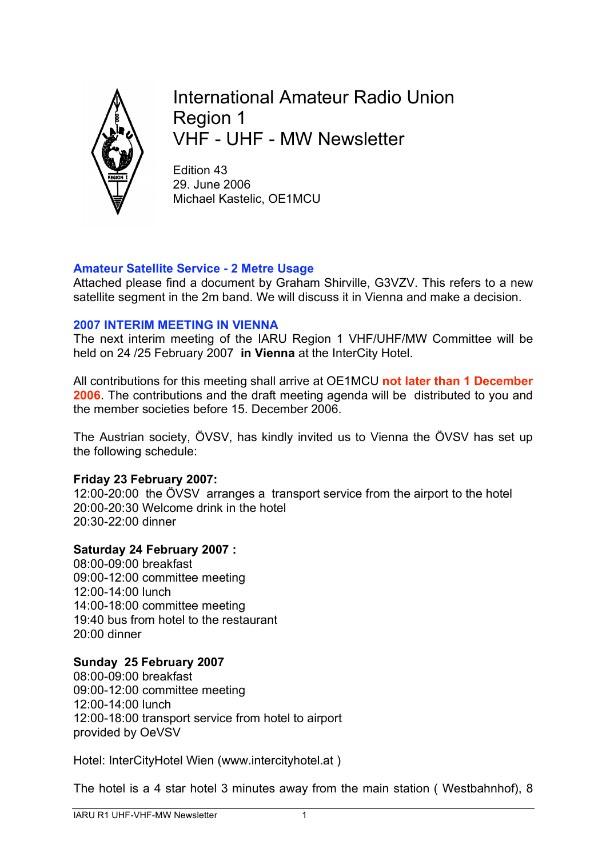

International Amateur Radio Union Region 1 VHF - UHF - MW Newsletter

Edition 43 29. June 2006 Michael Kastelic, OE1MCU

## **Amateur Satellite Service - 2 Metre Usage**

Attached please find a document by Graham Shirville, G3VZV. This refers to a new satellite segment in the 2m band. We will discuss it in Vienna and make a decision.

## **2007 INTERIM MEETING IN VIENNA**

The next interim meeting of the IARU Region 1 VHF/UHF/MW Committee will be held on 24 /25 February 2007 **in Vienna** at the InterCity Hotel.

All contributions for this meeting shall arrive at OE1MCU **not later than 1 December 2006**. The contributions and the draft meeting agenda will be distributed to you and the member societies before 15. December 2006.

The Austrian society, ÖVSV, has kindly invited us to Vienna the ÖVSV has set up the following schedule:

## **Friday 23 February 2007:**

12:00-20:00 the ÖVSV arranges a transport service from the airport to the hotel 20:00-20:30 Welcome drink in the hotel 20:30-22:00 dinner

## **Saturday 24 February 2007 :**

08:00-09:00 breakfast 09:00-12:00 committee meeting 12:00-14:00 lunch 14:00-18:00 committee meeting 19:40 bus from hotel to the restaurant 20:00 dinner

## **Sunday 25 February 2007**

08:00-09:00 breakfast 09:00-12:00 committee meeting 12:00-14:00 lunch 12:00-18:00 transport service from hotel to airport provided by OeVSV

Hotel: InterCityHotel Wien (www.intercityhotel.at )

The hotel is a 4 star hotel 3 minutes away from the main station ( Westbahnhof), 8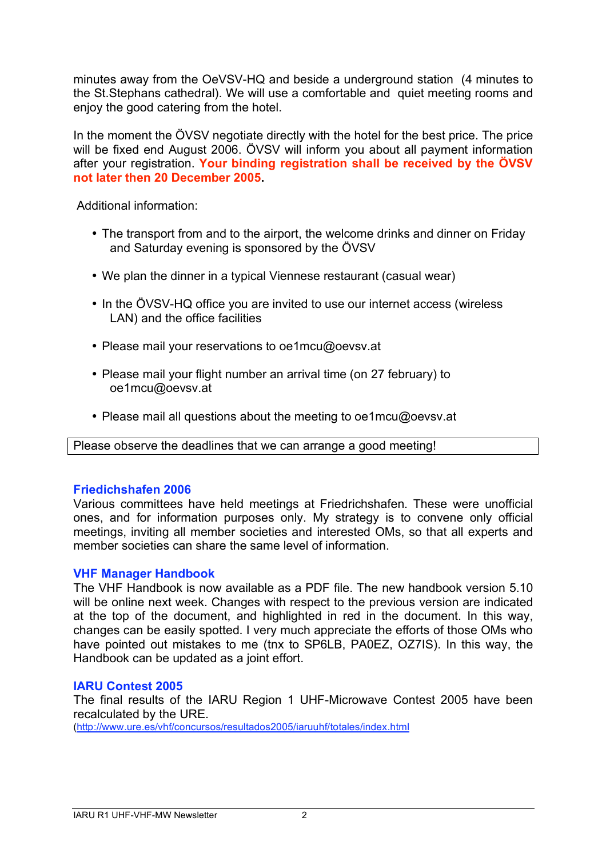minutes away from the OeVSV-HQ and beside a underground station (4 minutes to the St.Stephans cathedral). We will use a comfortable and quiet meeting rooms and enjoy the good catering from the hotel.

In the moment the ÖVSV negotiate directly with the hotel for the best price. The price will be fixed end August 2006. ÖVSV will inform you about all payment information after your registration. **Your binding registration shall be received by the ÖVSV not later then 20 December 2005.**

Additional information:

- The transport from and to the airport, the welcome drinks and dinner on Friday and Saturday evening is sponsored by the ÖVSV
- We plan the dinner in a typical Viennese restaurant (casual wear)
- In the ÖVSV-HQ office you are invited to use our internet access (wireless LAN) and the office facilities
- Please mail your reservations to oe1mcu@oevsv.at
- Please mail your flight number an arrival time (on 27 february) to oe1mcu@oevsv.at
- Please mail all questions about the meeting to oe1mcu@oevsv.at

Please observe the deadlines that we can arrange a good meeting!

#### **Friedichshafen 2006**

Various committees have held meetings at Friedrichshafen. These were unofficial ones, and for information purposes only. My strategy is to convene only official meetings, inviting all member societies and interested OMs, so that all experts and member societies can share the same level of information.

#### **VHF Manager Handbook**

The VHF Handbook is now available as a PDF file. The new handbook version 5.10 will be online next week. Changes with respect to the previous version are indicated at the top of the document, and highlighted in red in the document. In this way, changes can be easily spotted. I very much appreciate the efforts of those OMs who have pointed out mistakes to me (tnx to SP6LB, PA0EZ, OZ7IS). In this way, the Handbook can be updated as a joint effort.

#### **IARU Contest 2005**

The final results of the IARU Region 1 UHF-Microwave Contest 2005 have been recalculated by the URE.

(http://www.ure.es/vhf/concursos/resultados2005/iaruuhf/totales/index.html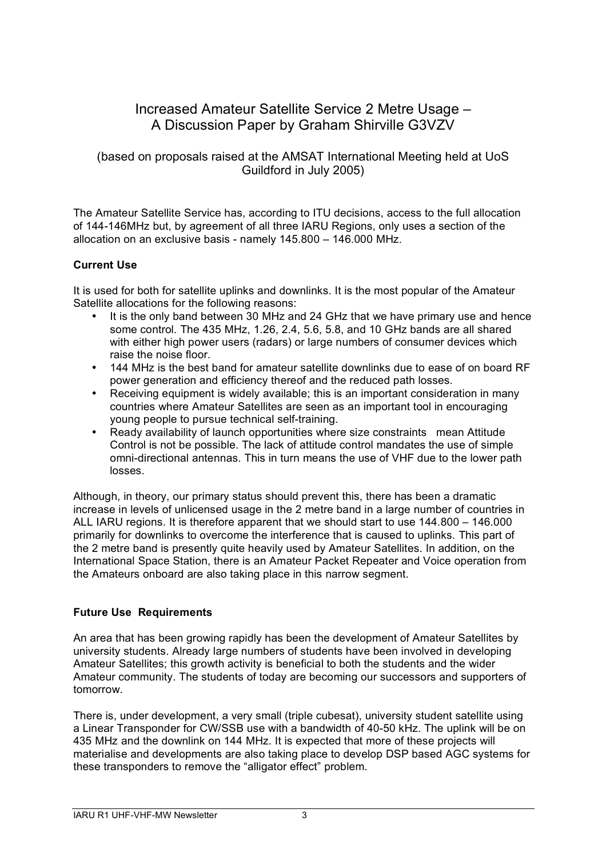# Increased Amateur Satellite Service 2 Metre Usage – A Discussion Paper by Graham Shirville G3VZV

### (based on proposals raised at the AMSAT International Meeting held at UoS Guildford in July 2005)

The Amateur Satellite Service has, according to ITU decisions, access to the full allocation of 144-146MHz but, by agreement of all three IARU Regions, only uses a section of the allocation on an exclusive basis - namely 145.800 – 146.000 MHz.

## **Current Use**

It is used for both for satellite uplinks and downlinks. It is the most popular of the Amateur Satellite allocations for the following reasons:

- It is the only band between 30 MHz and 24 GHz that we have primary use and hence some control. The 435 MHz, 1.26, 2.4, 5.6, 5.8, and 10 GHz bands are all shared with either high power users (radars) or large numbers of consumer devices which raise the noise floor.
- 144 MHz is the best band for amateur satellite downlinks due to ease of on board RF power generation and efficiency thereof and the reduced path losses.
- Receiving equipment is widely available; this is an important consideration in many countries where Amateur Satellites are seen as an important tool in encouraging young people to pursue technical self-training.
- Ready availability of launch opportunities where size constraints mean Attitude Control is not be possible. The lack of attitude control mandates the use of simple omni-directional antennas. This in turn means the use of VHF due to the lower path losses.

Although, in theory, our primary status should prevent this, there has been a dramatic increase in levels of unlicensed usage in the 2 metre band in a large number of countries in ALL IARU regions. It is therefore apparent that we should start to use 144.800 – 146.000 primarily for downlinks to overcome the interference that is caused to uplinks. This part of the 2 metre band is presently quite heavily used by Amateur Satellites. In addition, on the International Space Station, there is an Amateur Packet Repeater and Voice operation from the Amateurs onboard are also taking place in this narrow segment.

#### **Future Use Requirements**

An area that has been growing rapidly has been the development of Amateur Satellites by university students. Already large numbers of students have been involved in developing Amateur Satellites; this growth activity is beneficial to both the students and the wider Amateur community. The students of today are becoming our successors and supporters of tomorrow.

There is, under development, a very small (triple cubesat), university student satellite using a Linear Transponder for CW/SSB use with a bandwidth of 40-50 kHz. The uplink will be on 435 MHz and the downlink on 144 MHz. It is expected that more of these projects will materialise and developments are also taking place to develop DSP based AGC systems for these transponders to remove the "alligator effect" problem.